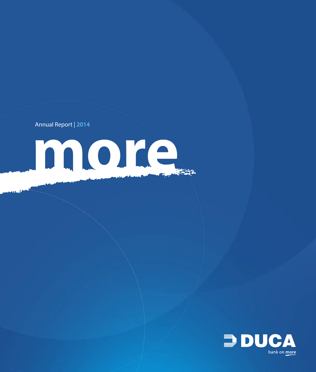

# **more**

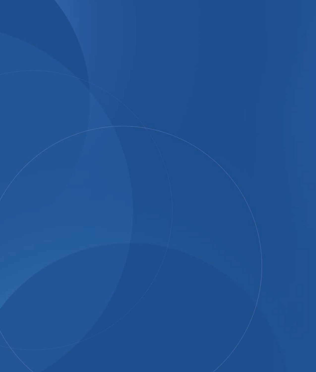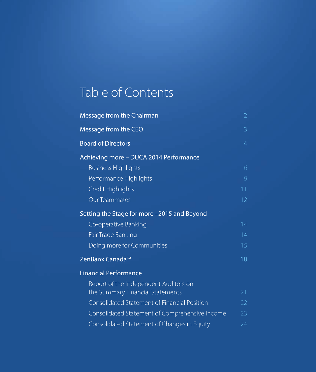## Table of Contents

| Message from the Chairman                      | $\overline{2}$ |
|------------------------------------------------|----------------|
| Message from the CEO                           | 3              |
| <b>Board of Directors</b>                      | 4              |
| Achieving more - DUCA 2014 Performance         |                |
| <b>Business Highlights</b>                     | 6              |
| Performance Highlights                         | $\mathcal{Q}$  |
| Credit Highlights                              | 11             |
| <b>Our Teammates</b>                           | 12             |
| Setting the Stage for more -2015 and Beyond    |                |
| Co-operative Banking                           | 14             |
| Fair Trade Banking                             | 14             |
| Doing more for Communities                     | 15             |
| ZenBanx Canada <sup>™</sup>                    | 18             |
| <b>Financial Performance</b>                   |                |
| Report of the Independent Auditors on          |                |
| the Summary Financial Statements               | 21             |
| Consolidated Statement of Financial Position   | 22             |
| Consolidated Statement of Comprehensive Income | 23             |
| Consolidated Statement of Changes in Equity    | 24             |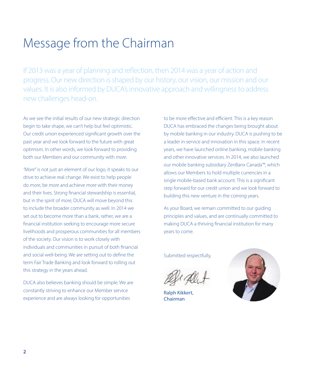## Message from the Chairman

If 2013 was a year of planning and reflection, then 2014 was a year of action and progress. Our new direction is shaped by our history, our vision, our mission and our values. It is also informed by DUCA's innovative approach and willingness to address new challenges head-on.

As we see the initial results of our new strategic direction begin to take shape, we can't help but feel optimistic. Our credit union experienced significant growth over the past year and we look forward to the future with great optimism. In other words, we look forward to providing both our Members and our community with *more*.

*"More"* is not just an element of our logo, it speaks to our drive to achieve real change. We exist to help people do *more*, be *more* and achieve *more* with their money and their lives. Strong financial stewardship is essential, but in the spirit of *more*, DUCA will move beyond this to include the broader community as well. In 2014 we set out to become more than a bank, rather, we are a financial institution seeking to encourage more secure livelihoods and prosperous communities for all members of the society. Our vision is to work closely with individuals and communities in pursuit of both financial and social well-being. We are setting out to define the term Fair Trade Banking and look forward to rolling out this strategy in the years ahead.

DUCA also believes banking should be simple. We are constantly striving to enhance our Member service experience and are always looking for opportunities

to be more effective and efficient. This is a key reason DUCA has embraced the changes being brought about by mobile banking in our industry. DUCA is pushing to be a leader in service and innovation in this space. In recent years, we have launched online banking, mobile banking and other innovative services. In 2014, we also launched our mobile banking subsidiary ZenBanx Canada™, which allows our Members to hold multiple currencies in a single mobile-based bank account. This is a significant step forward for our credit union and we look forward to building this new venture in the coming years.

As your Board, we remain committed to our guiding principles and values, and are continually committed to making DUCA a thriving financial institution for many years to come.

Submitted respectfully,

Ralph Kikkert, Chairman

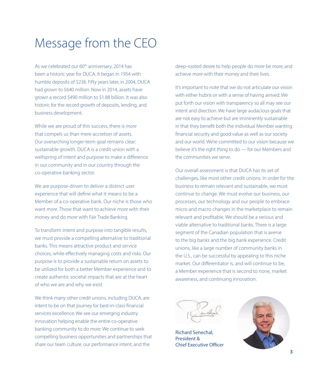## Message from the CEO

As we celebrated our 60<sup>th</sup> anniversary, 2014 has been a historic year for DUCA. It began in 1954 with humble deposits of \$236. Fifty years later, in 2004, DUCA had grown to \$640 million. Now in 2014, assets have grown a record \$490 million to \$1.88 billion. It was also historic for the record growth of deposits, lending, and business development.

While we are proud of this success, there is *more* that compels us than mere accretion of assets. Our overarching longer-term goal remains clear: sustainable growth. DUCA is a credit union with a wellspring of intent and purpose to make a difference in our community and in our country through the co-operative banking sector.

We are purpose-driven to deliver a distinct user experience that will define what it means to be a Member of a co-operative bank. Our niche is those who want *more*. Those that want to achieve *more* with their money and do *more* with Fair Trade Banking.

To transform intent and purpose into tangible results, we must provide a compelling alternative to traditional banks. This means attractive product and service choices, while effectively managing costs and risks. Our purpose is to provide a sustainable return on assets to be utilized for both a better Member experience and to create authentic societal impacts that are at the heart of who we are and why we exist.

We think many other credit unions, including DUCA, are intent to be on that journey for best-in-class financial services excellence. We see our emerging industry innovation helping enable the entire co-operative banking community to do *more*. We continue to seek compelling business opportunities and partnerships that share our team culture, our performance intent, and the

deep-rooted desire to help people do *more* be *more*, and achieve *more* with their money and their lives.

It's important to note that we do not articulate our vision with either hubris or with a sense of having arrived. We put forth our vision with transparency so all may see our intent and direction. We have large audacious goals that are not easy to achieve but are imminently sustainable in that they benefit both the individual Member wanting financial security and good value as well as our society and our world. We're committed to our vision because we believe it's the right thing to do — for our Members and the communities we serve.

Our overall assessment is that DUCA has its set of challenges, like most other credit unions. In order for the business to remain relevant and sustainable, we must continue to change. We must evolve our business, our processes, our technology and our people to embrace micro and macro changes in the marketplace to remain relevant and profitable. We should be a serious and viable alternative to traditional banks. There is a large segment of the Canadian population that is averse to the big banks and the big bank experience. Credit unions, like a large number of community banks in the U.S., can be successful by appealing to this niche market. Our differentiator is, and will continue to be, a Member experience that is second to none, market awareness, and continuing innovation.

Richard Senechal, President & Chief Executive Officer

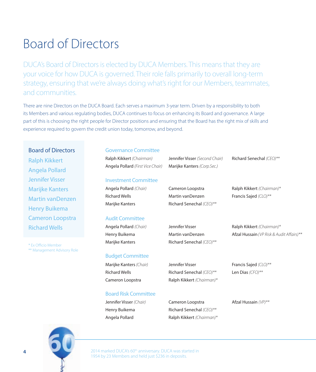## Board of Directors

DUCA's Board of Directors is elected by DUCA Members. This means that they are your voice for how DUCA is governed. Their role falls primarily to overall long-term strategy, ensuring that we're always doing what's right for our Members, teammates, and communities.

There are nine Directors on the DUCA Board. Each serves a maximum 3-year term. Driven by a responsibility to both its Members and various regulating bodies, DUCA continues to focus on enhancing its Board and governance. A large part of this is choosing the right people for Director positions and ensuring that the Board has the right mix of skills and experience required to govern the credit union today, tomorrow, and beyond.

| <b>Board of Directors</b><br><b>Ralph Kikkert</b><br>Angela Pollard | <b>Governance Committee</b><br>Ralph Kikkert (Chairman)<br>Angela Pollard (First Vice Chair) | Jennifer Visser (Second Chair)<br>Marijke Kanters (Corp.Sec.) | Richard Senechal (CEO)**                  |
|---------------------------------------------------------------------|----------------------------------------------------------------------------------------------|---------------------------------------------------------------|-------------------------------------------|
| <b>Jennifer Visser</b>                                              | <b>Investment Committee</b>                                                                  |                                                               |                                           |
| <b>Marijke Kanters</b>                                              | Angela Pollard (Chair)                                                                       | Cameron Loopstra                                              | Ralph Kikkert (Chairman)*                 |
| <b>Martin vanDenzen</b>                                             | <b>Richard Wells</b>                                                                         | Martin vanDenzen                                              | Francis Sajed (CLO)**                     |
| <b>Henry Buikema</b>                                                | Marijke Kanters                                                                              | Richard Senechal (CEO)**                                      |                                           |
| <b>Cameron Loopstra</b>                                             | <b>Audit Committee</b>                                                                       |                                                               |                                           |
| <b>Richard Wells</b>                                                | Angela Pollard (Chair)                                                                       | Jennifer Visser                                               | Ralph Kikkert (Chairman)*                 |
|                                                                     | Henry Buikema                                                                                | Martin vanDenzen                                              | Afzal Hussain (VP Risk & Audit Affairs)** |
| * Ex Officio Member<br>** Management Advisory Role                  | Marijke Kanters                                                                              | Richard Senechal (CEO)**                                      |                                           |
|                                                                     | <b>Budget Committee</b>                                                                      |                                                               |                                           |
|                                                                     | Marijke Kanters (Chair)                                                                      | Jennifer Visser                                               | Francis Sajed (CLO)**                     |
|                                                                     | <b>Richard Wells</b>                                                                         | Richard Senechal (CEO)**                                      | Len Dias (CFO)**                          |
|                                                                     | Cameron Loopstra                                                                             | Ralph Kikkert (Chairman)*                                     |                                           |
|                                                                     | <b>Board Risk Committee</b>                                                                  |                                                               |                                           |
|                                                                     | Jennifer Visser (Chair)                                                                      | Cameron Loopstra                                              | Afzal Hussain (VP)**                      |
|                                                                     | Henry Buikema                                                                                | Richard Senechal (CEO)**                                      |                                           |

Ralph Kikkert *(Chairman)\**

### 2014 marked DUCA's 60<sup>th</sup> anniversary. DUCA was started in 1954 by 23 Members and held just \$236 in deposits.

Angela Pollard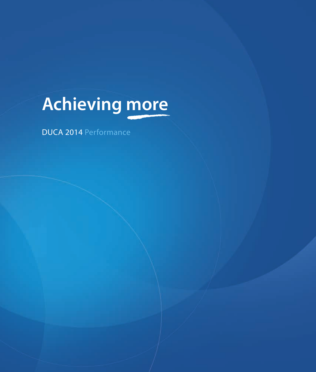## **Achieving more**

DUCA 2014 Performance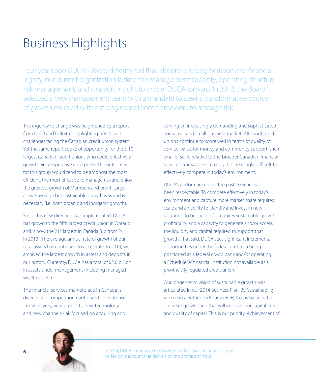## Business Highlights

Four years ago DUCA's Board determined that, despite a strong heritage and financial legacy, our current organization lacked the management capacity, operating structure, risk management, and strategic insight to propel DUCA forward. In 2012, the Board selected a new management team with a mandate to steer a transformative course of growth coupled with a strong compliance framework to manage risk.

The urgency to change was heightened by a report from DICO and Deloitte highlighting trends and challenges facing the Canadian credit union system. Yet the same report spoke of opportunity for the 5-10 largest Canadian credit unions who could effectively grow their co-operative enterprises. The outcomes for this group would tend to be amongst the most efficient, the most effective to manage risk and enjoy the greatest growth of Members and profit. Large, above-average but sustainable growth was and is necessary (i.e. both organic and inorganic growth).

Since this new direction was implemented, DUCA has grown to the fifth largest credit union in Ontario and is now the 21<sup>st</sup> largest in Canada (up from 24<sup>th</sup> in 2013). The average annual rate of growth of our total assets has continued to accelerate. In 2014, we archived the largest growth in assets and deposits in our history. Currently, DUCA has a total of \$2.0 billion in assets under management (including managed wealth assets).

The financial services marketplace in Canada is diverse and competition continues to be intense - new players, new products, new technology and new channels - all focused on acquiring and serving an increasingly demanding and sophisticated consumer and small business market. Although credit unions continue to score well in terms of quality of service, value for money and community support, their smaller scale relative to the broader Canadian financial services landscape is making it increasingly difficult to effectively compete in today's environment.

DUCA's performance over the past 10 years has been respectable. To compete effectively in today's environment and capture more market share requires scale and an ability to identify and invest in new solutions. To be successful requires sustainable growth, profitability and a capacity to generate and/or access the liquidity and capital required to support that growth. That said, DUCA sees significant incremental opportunities under the federal umbrella being positioned as a federal co-op bank and/or operating a Schedule "A" financial institution not available as a provincially regulated credit union.

Our longer-term vision of sustainable growth was articulated in our 2014 Business Plan. By "sustainability", we mean a Return on Equity (ROE) that is balanced to our asset growth and that will improve our capital ratios and quality of capital. This is our priority. Achievement of



In 2014, DUCA introduced the Daylight No Fee Banking Bundle, a true **6 in** 2014, DUCA introduced the Daylight No Fee Banking Bu no-fee bank account that delivers on the promise of *more*.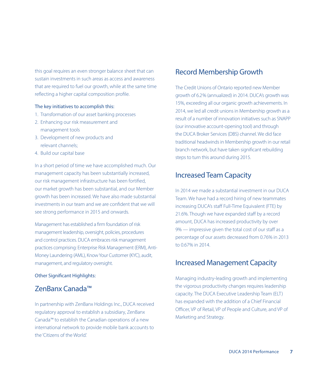this goal requires an even stronger balance sheet that can sustain investments in such areas as access and awareness that are required to fuel our growth, while at the same time reflecting a higher capital composition profile.

### The key initiatives to accomplish this:

- 1. Transformation of our asset banking processes
- 2. Enhancing our risk measurement and management tools
- 3. Development of new products and relevant channels;
- 4. Build our capital base

In a short period of time we have accomplished much. Our management capacity has been substantially increased, our risk management infrastructure has been fortified, our market growth has been substantial, and our Member growth has been increased. We have also made substantial investments in our team and we are confident that we will see strong performance in 2015 and onwards.

Management has established a firm foundation of risk management leadership, oversight, policies, procedures and control practices. DUCA embraces risk management practices comprising: Enterprise Risk Management (ERM), Anti-Money Laundering (AML), Know Your Customer (KYC), audit, management, and regulatory oversight.

### Other Significant Highlights:

### ZenBanx Canada™

In partnership with ZenBanx Holdings Inc., DUCA received regulatory approval to establish a subsidiary, ZenBanx Canada™ to establish the Canadian operations of a new international network to provide mobile bank accounts to the 'Citizens of the World.'

### Record Membership Growth

The Credit Unions of Ontario reported new Member growth of 6.2% (annualized) in 2014. DUCA's growth was 15%, exceeding all our organic growth achievements. In 2014, we led all credit unions in Membership growth as a result of a number of innovation initiatives such as SNAPP (our innovative account-opening tool) and through the DUCA Broker Services (DBS) channel. We did face traditional headwinds in Membership growth in our retail branch network, but have taken significant rebuilding steps to turn this around during 2015.

### Increased Team Capacity

In 2014 we made a substantial investment in our DUCA Team. We have had a record hiring of new teammates increasing DUCA's staff Full-Time Equivalent (FTE) by 21.6%. Though we have expanded staff by a record amount, DUCA has increased productivity by over 9% — impressive given the total cost of our staff as a percentage of our assets decreased from 0.76% in 2013 to 0.67% in 2014.

### Increased Management Capacity

Managing industry-leading growth and implementing the vigorous productivity changes requires leadership capacity. The DUCA Executive Leadership Team (ELT) has expanded with the addition of a Chief Financial Officer, VP of Retail, VP of People and Culture, and VP of Marketing and Strategy.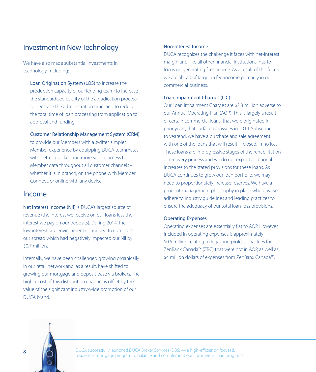### Investment in New Technology

We have also made substantial investments in technology. Including:

Loan Origination System (LOS) to increase the production capacity of our lending team; to increase the standardized quality of the adjudication process; to decrease the administration time; and to reduce the total time of loan processing from application to approval and funding.

#### Customer Relationship Management System (CRM)

to provide our Members with a swifter, simpler, Member experience by equipping DUCA teammates with better, quicker, and more secure access to Member data throughout all customer channels whether it is in branch, on the phone with Member Connect, or online with any device.

### Income

Net Interest Income (NII) is DUCA's largest source of revenue (the interest we receive on our loans less the interest we pay on our deposits). During 2014, the low interest rate environment continued to compress our spread which had negatively impacted our NII by \$0.7 million.

Internally, we have been challenged growing organically in our retail network and, as a result, have shifted to growing our mortgage and deposit base via brokers. The higher cost of this distribution channel is offset by the value of the significant industry-wide promotion of our DUCA brand.

### Non-Interest Income

DUCA recognizes the challenge it faces with net-interest margin and, like all other financial institutions, has to focus on generating fee-income. As a result of this focus, we are ahead of target in fee-income primarily in our commercial business.

### Loan Impairment Charges (LIC)

Our Loan Impairment Charges are \$2.8 million adverse to our Annual Operating Plan (AOP). This is largely a result of certain commercial loans, that were originated in prior years, that surfaced as issues in 2014. Subsequent to yearend, we have a purchase and sale agreement with one of the loans that will result, if closed, in no loss. These loans are in progressive stages of the rehabilitation or recovery process and we do not expect additional increases to the stated provisions for these loans. As DUCA continues to grow our loan portfolio, we may need to proportionately increase reserves. We have a prudent management philosophy in place whereby we adhere to industry guidelines and leading practices to ensure the adequacy of our total loan-loss provisions.

#### Operating Expenses

Operating expenses are essentially flat to AOP. However, included in operating expenses is approximately \$0.5 million relating to legal and professional fees for ZenBanx Canada™ (ZBC) that were not in AOP, as well as \$4 million dollars of expenses from ZenBanx Canada™.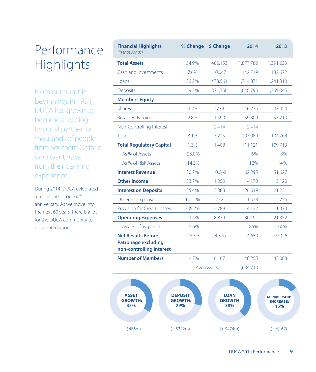## Performance **Highlights**

From our humble beginnings in 1954, DUCA has grown to become a leading financial partner for thousands of people from Southern Ontario who want *more* from their banking experience.

During 2014, DUCA celebrated a milestone — our 60<sup>th</sup> anniversary. As we move into the next 60 years, there is a lot for the DUCA community to get excited about.

| <b>Financial Highlights</b><br>(in thousands)                                       | % Change \$ Change                      |                                      | 2014      | 2013                                         |
|-------------------------------------------------------------------------------------|-----------------------------------------|--------------------------------------|-----------|----------------------------------------------|
| <b>Total Assets</b>                                                                 | 34.9%                                   | 486,153                              | 1,877,786 | 1,391,633                                    |
| Cash and Investments                                                                | 7.6%                                    | 10,047                               | 142,719   | 132,672                                      |
| Loans                                                                               | 38.2%                                   | 473,561                              | 1,714,871 | 1,241,310                                    |
| Deposits                                                                            | 29.3%                                   | 371,750                              | 1,640,795 | 1,269,045                                    |
| <b>Members Equity</b>                                                               |                                         |                                      |           |                                              |
| <b>Shares</b>                                                                       | $-1.7%$                                 | $-779$                               | 46,275    | 47,054                                       |
| <b>Retained Earnings</b>                                                            | 2.8%                                    | 1,590                                | 59,300    | 57,710                                       |
| Non-Controlling Interest                                                            |                                         | 2,414                                | 2,414     |                                              |
| Total                                                                               | 3.1%                                    | 3,225                                | 107,989   | 104,764                                      |
| <b>Total Regulatory Capital</b>                                                     | 1.3%                                    | 1,408                                | 111,121   | 109,713                                      |
| As % of Assets                                                                      | $-25.0%$                                |                                      | 6%        | 8%                                           |
| As % of Risk Assets                                                                 | $-14.3%$                                |                                      | 12%       | 14%                                          |
| <b>Interest Revenue</b>                                                             | 20.7%                                   | 10,668                               | 62,295    | 51,627                                       |
| <b>Other Income</b>                                                                 | 33.7%                                   | 1,050                                | 4,170     | 3,120                                        |
| <b>Interest on Deposits</b>                                                         | 25.4%                                   | 5,388                                | 26,619    | 21,231                                       |
| Other Int Expense                                                                   | 102.1%                                  | 772                                  | 1,528     | 756                                          |
| Provision for Credit Losses                                                         | 209.2%                                  | 2,789                                | 4,122     | 1,333                                        |
| <b>Operating Expenses</b>                                                           | 41.4%                                   | 8,839                                | 30,191    | 21,352                                       |
| As a % of avg assets                                                                | 15.6%                                   |                                      | 1.85%     | 1.60%                                        |
| <b>Net Results Before</b><br><b>Patronage excluding</b><br>non-controlling interest | $-48.5%$                                | $-4,376$                             | 4,650     | 9,026                                        |
| <b>Number of Members</b>                                                            | 14.7%                                   | 6,167                                | 48,255    | 42,088                                       |
|                                                                                     |                                         | Avg Assets                           | 1,634,710 |                                              |
| <b>ASSET</b><br><b>GROWTH:</b><br>35%                                               | <b>DEPOSIT</b><br><b>GROWTH:</b><br>29% | <b>LOAN</b><br><b>GROWTH:</b><br>38% |           | <b>MEMBERSHIP</b><br><b>INCREASE:</b><br>15% |
| $(+ $486m)$                                                                         | $(+ $372m)$                             | $(+ $474m)$                          |           | $(+ 6,167)$                                  |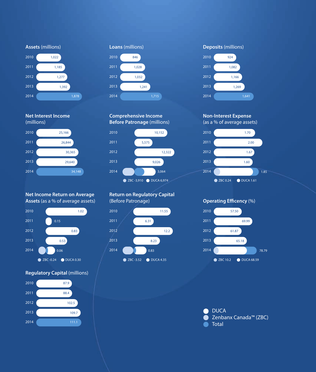

### **Net Interest Income** (millions)



### **Net Income Return on Average Assets** (as a % of average assets)



### **Regulatory Capital** (millions)





**Comprehensive Income Before Patronage** (millions)



### **Return on Regulatory Capital**  (Before Patronage)



### **Deposits** (millions)



### **Non-Interest Expense** (as a % of average assets)



### **Operating Efficency** (%)



### **O** DUCA Zenbanx Canada™ (ZBC) Total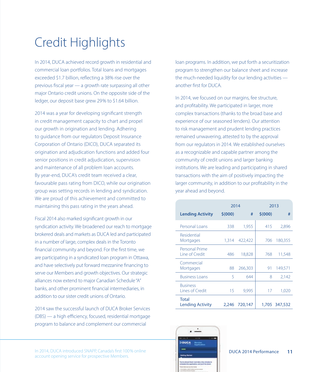## Credit Highlights

In 2014, DUCA achieved record growth in residential and commercial loan portfolios. Total loans and mortgages exceeded \$1.7 billion, reflecting a 38% rise over the previous fiscal year — a growth rate surpassing all other major Ontario credit unions. On the opposite side of the ledger, our deposit base grew 29% to \$1.64 billion.

2014 was a year for developing significant strength in credit management capacity to chart and propel our growth in origination and lending. Adhering to guidance from our regulators Deposit Insurance Corporation of Ontario (DICO), DUCA separated its origination and adjudication functions and added four senior positions in credit adjudication, supervision and maintenance of all problem loan accounts. By year-end, DUCA's credit team received a clear, favourable pass rating from DICO, while our origination group was setting records in lending and syndication. We are proud of this achievement and committed to maintaining this pass rating in the years ahead.

Fiscal 2014 also marked significant growth in our syndication activity. We broadened our reach to mortgage brokered deals and markets as DUCA led and participated in a number of large, complex deals in the Toronto financial community and beyond. For the first time, we are participating in a syndicated loan program in Ottawa, and have selectively put forward mezzanine financing to serve our Members and growth objectives. Our strategic alliances now extend to major Canadian Schedule "A" banks, and other prominent financial intermediaries, in addition to our sister credit unions of Ontario.

2014 saw the successful launch of DUCA Broker Services (DBS) — a high efficiency, focused, residential mortgage program to balance and complement our commercial

loan programs. In addition, we put forth a securitization program to strengthen our balance sheet and increase the much-needed liquidity for our lending activities another first for DUCA.

In 2014, we focused on our margins, fee structure, and profitability. We participated in larger, more complex transactions (thanks to the broad base and experience of our seasoned lenders). Our attention to risk management and prudent lending practices remained unwavering, attested to by the approval from our regulators in 2014. We established ourselves as a recognizable and capable partner among the community of credit unions and larger banking institutions. We are leading and participating in shared transactions with the aim of positively impacting the larger community, in addition to our profitability in the year ahead and beyond.

|                                         | 2014     |         |          | 2013          |
|-----------------------------------------|----------|---------|----------|---------------|
| <b>Lending Activity</b>                 | \$ (000) | #       | \$ (000) | #             |
| Personal Loans                          | 338      | 1,955   | 415      | 2,896         |
| <b>Residential</b><br>Mortgages         | 1.314    | 422,422 | 706      | 180,355       |
| Personal Prime<br>Line of Credit        | 486      | 18,828  | 768      | 11.548        |
| Commercial<br>Mortgages                 | 88       | 266,303 | 91       | 149,571       |
| <b>Business Loans</b>                   | 5        | 644     | 8        | 2,142         |
| <b>Business</b><br>Lines of Credit      | 15       | 9.995   | 17       | 1,020         |
| <b>Total</b><br><b>Lending Activity</b> | 2.246    | 720.147 |          | 1.705 347.532 |



In 2014, DUCA introduced SNAPP, Canada's first 100% online account opening service for prospective Members.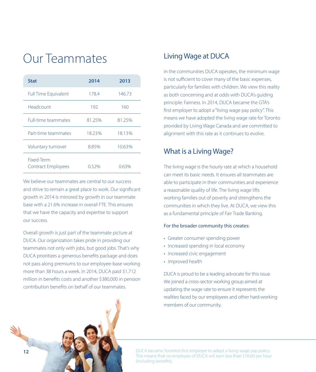### Our Teammates

| <b>Stat</b>                             | 2014   | 2013   |
|-----------------------------------------|--------|--------|
| <b>Full Time Equivalent</b>             | 178.4  | 146.73 |
| Headcount                               | 192    | 160    |
| <b>Full-time teammates</b>              | 81.25% | 81.25% |
| Part-time teammates                     | 1823%  | 18.13% |
| Voluntary turnover                      | 8.85%  | 10.63% |
| Fixed-Term<br><b>Contract Employees</b> | 0.52%  | 0.63%  |

We believe our teammates are central to our success and strive to remain a great place to work. Our significant growth in 2014 is mirrored by growth in our teammate base with a 21.6% increase in overall FTE. This ensures that we have the capacity and expertise to support our success.

Overall growth is just part of the teammate picture at DUCA. Our organization takes pride in providing our teammates not only with jobs, but good jobs. That's why DUCA prioritizes a generous benefits package and does not pass along premiums to our employee-base working more than 38 hours a week. In 2014, DUCA paid \$1.712 million in benefits costs and another \$380,000 in pension contribution benefits on behalf of our teammates.

### Living Wage at DUCA

In the communities DUCA operates, the minimum wage is not sufficient to cover many of the basic expenses, particularly for families with children. We view this reality as both concerning and at odds with DUCA's guiding principle: Fairness. In 2014, DUCA became the GTA's first employer to adopt a "living wage pay policy". This means we have adopted the living wage rate for Toronto provided by Living Wage Canada and are committed to alignment with this rate as it continues to evolve.

### What is a Living Wage?

The living wage is the hourly rate at which a household can meet its basic needs. It ensures all teammates are able to participate in their communities and experience a reasonable quality of life. The living wage lifts working families out of poverty and strengthens the communities in which they live. At DUCA, we view this as a fundamental principle of Fair Trade Banking.

### For the broader community this creates:

- Greater consumer spending power
- Increased spending in local economy
- Increased civic engagement
- Improved health

DUCA is proud to be a leading advocate for this issue. We joined a cross-sector working group aimed at updating the wage rate to ensure it represents the realities faced by our employees and other hard-working members of our community.

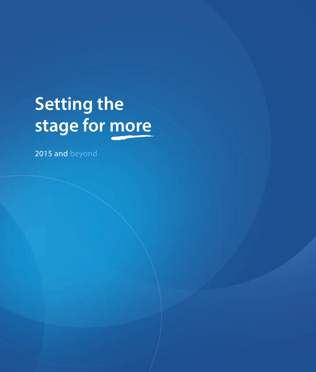## **Setting the stage for more**

2015 and beyond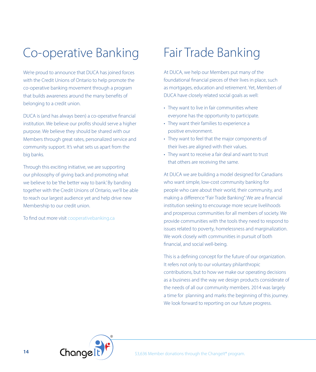## Co-operative Banking

We're proud to announce that DUCA has joined forces with the Credit Unions of Ontario to help promote the co-operative banking movement through a program that builds awareness around the many benefits of belonging to a credit union.

DUCA is (and has always been) a co-operative financial institution. We believe our profits should serve a higher purpose. We believe they should be shared with our Members through great rates, personalized service and community support. It's what sets us apart from the big banks.

Through this exciting initiative, we are supporting our philosophy of giving back and promoting what we believe to be 'the better way to bank.' By banding together with the Credit Unions of Ontario, we'll be able to reach our largest audience yet and help drive new Membership to our credit union.

To find out more visit cooperativebanking.ca

## Fair Trade Banking

At DUCA, we help our Members put many of the foundational financial pieces of their lives in place, such as mortgages, education and retirement. Yet, Members of DUCA have closely related social goals as well:

- They want to live in fair communities where everyone has the opportunity to participate.
- They want their families to experience a positive environment.
- They want to feel that the major components of their lives are aligned with their values.
- They want to receive a fair deal and want to trust that others are receiving the same.

At DUCA we are building a model designed for Canadians who want simple, low-cost community banking for people who care about their world, their community, and making a difference "Fair Trade Banking". We are a financial institution seeking to encourage more secure livelihoods and prosperous communities for all members of society. We provide communities with the tools they need to respond to issues related to poverty, homelessness and marginalization. We work closely with communities in pursuit of both financial, and social well-being.

This is a defining concept for the future of our organization. It refers not only to our voluntary philanthropic contributions, but to how we make our operating decisions as a business and the way we design products considerate of the needs of all our community members. 2014 was largely a time for planning and marks the beginning of this journey. We look forward to reporting on our future progress.

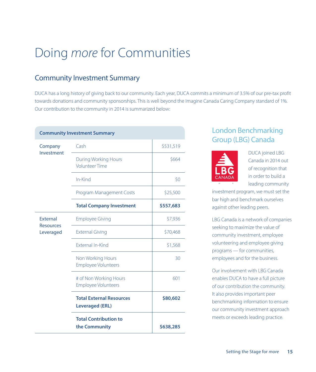## Doing *more* for Communities

### Community Investment Summary

DUCA has a long history of giving back to our community. Each year, DUCA commits a minimum of 3.5% of our pre-tax profit towards donations and community sponsorships. This is well beyond the Imagine Canada Caring Company standard of 1%. Our contribution to the community in 2014 is summarized below:

| <b>Community Investment Summary</b> |                                                           |           |  |  |
|-------------------------------------|-----------------------------------------------------------|-----------|--|--|
| Company<br>Investment               | Cash                                                      | \$531,519 |  |  |
|                                     | <b>During Working Hours</b><br><b>Volunteer Time</b>      | \$664     |  |  |
|                                     | In-Kind                                                   | \$0       |  |  |
|                                     | Program Management Costs                                  | \$25,500  |  |  |
|                                     | <b>Total Company Investment</b>                           | \$557,683 |  |  |
| <b>External</b>                     | <b>Employee Giving</b>                                    | \$7,936   |  |  |
| <b>Resources</b><br>Leveraged       | <b>External Giving</b>                                    | \$70,468  |  |  |
|                                     | <b>External In-Kind</b>                                   | \$1,568   |  |  |
|                                     | Non Working Hours<br><b>Employee Volunteers</b>           | 30        |  |  |
|                                     | # of Non Working Hours<br><b>Employee Volunteers</b>      | 601       |  |  |
|                                     | <b>Total External Resources</b><br><b>Leveraged (ERL)</b> | \$80,602  |  |  |
|                                     | <b>Total Contribution to</b><br>the Community             | \$638,285 |  |  |

### London Benchmarking Group (LBG) Canada



DUCA joined LBG Canada in 2014 out of recognition that in order to build a leading community

investment program, we must set the bar high and benchmark ourselves against other leading peers.

LBG Canada is a network of companies seeking to maximize the value of community investment, employee volunteering and employee giving programs — for communities, employees and for the business.

Our involvement with LBG Canada enables DUCA to have a full picture of our contribution the community. It also provides important peer benchmarking information to ensure our community investment approach meets or exceeds leading practice.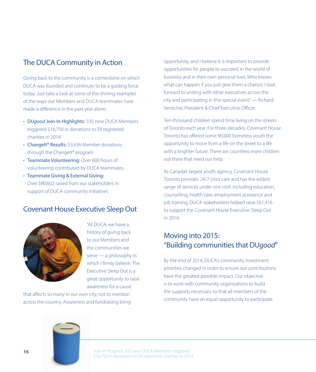### The DUCA Community in Action

Giving back to the community is a cornerstone on which DUCA was founded and continues to be a guiding force today. Just take a look at some of the shining examples of the ways our Members and DUCA teammates have made a difference in the past year alone:

- DU*good* Join-In Highlights: 335 new DUCA Members triggered \$16,750 in donations to 59 registered charities in 2014
- Changelt<sup>®</sup> Results: \$3,636 Member donations through the ChangeIt<sup>®</sup> program
- Teammate Volunteering: Over 600 hours of volunteering contributed by DUCA teammates
- Teammate Giving & External Giving: Over \$80,602 raised from our stakeholders in support of DUCA community initiatives

### Covenant House Executive Sleep Out



"At DUCA, we have a history of giving back to our Members and the communities we serve — a philosophy in which I firmly believe. The Executive Sleep Out is a great opportunity to raise awareness for a cause

that affects so many in our own city, not to mention across the country. Awareness and fundraising bring opportunity, and I believe it is important to provide opportunities for people to succeed, in the world of business and in their own personal lives. Who knows what can happen if you just give them a chance. I look forward to uniting with other executives across the city and participating in this special event." — Richard Senechal, President & Chief Executive Officer.

Ten-thousand children spend time living on the streets of Toronto each year. For three-decades, Covenant House Toronto has offered some 90,000 homeless youth the opportunity to move from a life on the street to a life with a brighter future. There are countless more children out there that need our help.

As Canada's largest youth agency, Covenant House Toronto provides 24/7 crisis care and has the widest range of services under one roof; including education, counselling, health care, employment assistance and job training. DUCA stakeholders helped raise \$61,416 to support the Covenant House Executive Sleep Out in 2014.

### Moving into 2015: "Building communities that DU*good*"

By the end of 2014, DUCA's community investment priorities changed in order to ensure our contributions have the greatest possible impact. Our objective is to work with community organizations to build the supports necessary so that all members of the community have an equal opportunity to participate.



Join-In Program: 335 new DUCA Members triggered \$16,750 in donations to 59 registered charities in 2014.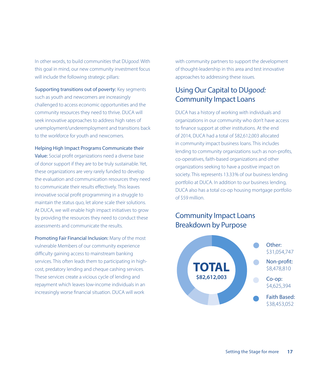In other words, to build communities that DU*good*. With this goal in mind, our new community investment focus will include the following strategic pillars:

Supporting transitions out of poverty: Key segments such as youth and newcomers are increasingly challenged to access economic opportunities and the community resources they need to thrive. DUCA will seek innovative approaches to address high rates of unemployment/underemployment and transitions back to the workforce for youth and newcomers.

Helping High Impact Programs Communicate their Value: Social profit organizations need a diverse base of donor support if they are to be truly sustainable. Yet, these organizations are very rarely funded to develop the evaluation and communication resources they need to communicate their results effectively. This leaves innovative social profit programming in a struggle to maintain the status quo, let alone scale their solutions. At DUCA, we will enable high impact initiatives to grow by providing the resources they need to conduct these assessments and communicate the results.  $15<sub>8</sub>$ 

> Promoting Fair Financial Inclusion: Many of the most vulnerable Members of our community experience difficulty gaining access to mainstream banking services. This often leads them to participating in highcost, predatory lending and cheque cashing services. These services create a vicious cycle of lending and repayment which leaves low-income individuals in an increasingly worse financial situation. DUCA will work

with community partners to support the development of thought-leadership in this area and test innovative approaches to addressing these issues.

### Using Our Capital to DU*good:* Community Impact Loans

DUCA has a history of working with individuals and organizations in our community who don't have access to finance support at other institutions. At the end of 2014, DUCA had a total of \$82,612,003 allocated in community impact business loans. This includes lending to community organizations such as non-profits, co-operatives, faith-based organizations and other organizations seeking to have a positive impact on society. This represents 13.33% of our business lending portfolio at DUCA. In addition to our business lending, DUCA also has a total co-op housing mortgage portfolio of \$59 million.

### Community Impact Loans Breakdown by Purpose

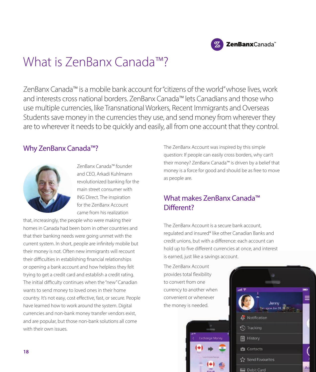

### ZenBanxCanada<sup>™</sup>

## What is ZenBanx Canada™?

ZenBanx Canada™ is a mobile bank account for "citizens of the world" whose lives, work and interests cross national borders. ZenBanx Canada™ lets Canadians and those who use multiple currencies, like Transnational Workers, Recent Immigrants and Overseas Students save money in the currencies they use, and send money from wherever they are to wherever it needs to be quickly and easily, all from one account that they control.

### Why ZenBanx Canada™?



ZenBanx Canada™ founder and CEO, Arkadi Kuhlmann revolutionized banking for the main street consumer with ING Direct. The inspiration for the ZenBanx Account came from his realization

that, increasingly, the people who were making their homes in Canada had been born in other countries and that their banking needs were going unmet with the current system. In short, people are infinitely mobile but their money is not. Often new immigrants will recount their difficulties in establishing financial relationships or opening a bank account and how helpless they felt trying to get a credit card and establish a credit rating. The initial difficulty continues when the "new" Canadian wants to send money to loved ones in their home country. It's not easy, cost effective, fast, or secure. People have learned how to work around the system. Digital currencies and non-bank money transfer vendors exist, and are popular, but those non-bank solutions all come with their own issues.

The ZenBanx Account was inspired by this simple question: If people can easily cross borders, why can't their money? ZenBanx Canada™ is driven by a belief that money is a force for good and should be as free to move as people are.

### What makes ZenBanx Canada™ Different?

The ZenBanx Account is a secure bank account, regulated and insured\* like other Canadian Banks and credit unions, but with a difference: each account can hold up to five different currencies at once, and interest is earned, just like a savings account.

The ZenBanx Account provides total flexibility to convert from one currency to another when convenient or whenever the money is needed.



| and <b>Y</b><br>Jenny<br>2en since Jan 28, 2015 | $\blacksquare$<br>Ξ |
|-------------------------------------------------|---------------------|
| & Notification                                  |                     |
| Tracking<br>ęс                                  |                     |
| History                                         |                     |
| 88 Contacts                                     |                     |
| Send Favourites                                 |                     |
|                                                 |                     |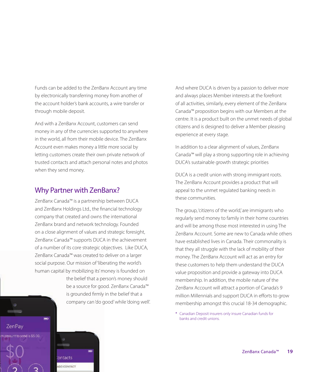Funds can be added to the ZenBanx Account any time by electronically transferring money from another of the account holder's bank accounts, a wire transfer or through mobile deposit.

And with a ZenBanx Account, customers can send money in any of the currencies supported to anywhere in the world, all from their mobile device. The ZenBanx Account even makes money a little more social by letting customers create their own private network of trusted contacts and attach personal notes and photos when they send money.

### Why Partner with ZenBanx?

ontacts **DD CONTACT** 

ZenPay

amount to send is \$5.00.

ZenBanx Canada™ is a partnership between DUCA and ZenBanx Holdings Ltd., the financial technology company that created and owns the international ZenBanx brand and network technology. Founded on a close alignment of values and strategic foresight, ZenBanx Canada™ supports DUCA in the achievement of a number of its core strategic objectives. Like DUCA, ZenBanx Canada™ was created to deliver on a larger social purpose. Our mission of 'liberating the world's human capital by mobilizing its' money is founded on

> the belief that a person's money should be a source for good. ZenBanx Canada™ is grounded firmly in the belief that a company can 'do good' while 'doing well'.

And where DUCA is driven by a passion to deliver *more* and always places Member interests at the forefront of all activities, similarly, every element of the ZenBanx Canada™ proposition begins with our Members at the centre. It is a product built on the unmet needs of global citizens and is designed to deliver a Member pleasing experience at every stage.

In addition to a clear alignment of values, ZenBanx Canada™ will play a strong supporting role in achieving DUCA's sustainable growth strategic priorities

DUCA is a credit union with strong immigrant roots. The ZenBanx Account provides a product that will appeal to the unmet regulated banking needs in these communities.

The group, 'citizens of the world,' are immigrants who regularly send money to family in their home countries and will be among those most interested in using The ZenBanx Account. Some are new to Canada while others have established lives in Canada. Their commonality is that they all struggle with the lack of mobility of their money. The ZenBanx Account will act as an entry for these customers to help them understand the DUCA value proposition and provide a gateway into DUCA membership. In addition, the mobile nature of the ZenBanx Account will attract a portion of Canada's 9 million Millennials and support DUCA in efforts to grow membership amongst this crucial 18-34 demographic.

\* Canadian Deposit insurers only insure Canadian funds for banks and credit unions.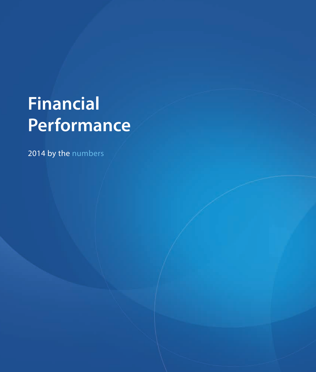## **Financial Performance**

2014 by the numbers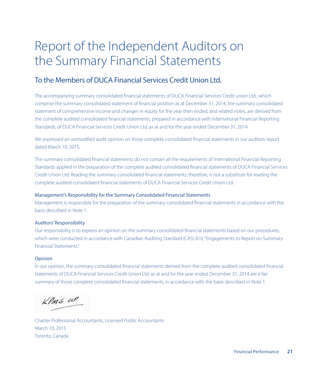## Report of the Independent Auditors on the Summary Financial Statements

### To the Members of DUCA Financial Services Credit Union Ltd.

The accompanying summary consolidated financial statements of DUCA Financial Services Credit union Ltd., which comprise the summary consolidated statement of financial position as at December 31, 2014, the summary consolidated statement of comprehensive income and changes in equity for the year then ended, and related notes, are derived from the complete audited consolidated financial statements, prepared in accordance with International Financial Reporting Standards, of DUCA Financial Services Credit Union Ltd. as at and for the year ended December 31, 2014.

We expressed an unmodified audit opinion on those complete consolidated financial statements in our auditors' report dated March 10, 2015.

The summary consolidated financial statements do not contain all the requirements of International Financial Reporting Standards applied in the preparation of the complete audited consolidated financial statements of DUCA Financial Services Credit Union Ltd. Reading the summary consolidated financial statements, therefore, is not a substitute for reading the complete audited consolidated financial statements of DUCA Financial Services Credit Union Ltd.

### Management's Responsibility for the Summary Consolidated Financial Statements

Management is responsible for the preparation of the summary consolidated financial statements in accordance with the basis described in Note 1.

### Auditors' Responsibility

Our responsibility is to express an opinion on the summary consolidated financial statements based on our procedures, which were conducted in accordance with Canadian Auditing Standard (CAS) 810, "Engagements to Report on Summary Financial Statements."

### Opinion

In our opinion, the summary consolidated financial statements derived from the complete audited consolidated financial statements of DUCA Financial Services Credit Union Ltd. as at and for the year ended December 31, 2014 are a fair summary of those complete consolidated financial statements, in accordance with the basis described in Note 1.

 $KPMS$  16

Charter Professional Accountants, Licensed Public Accountants March 10, 2015 Toronto, Canada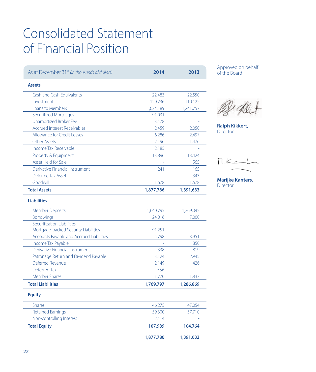## Consolidated Statement of Financial Position

| As at December 31 <sup>st</sup> (in thousands of dollars) | 2014      | 2013      |
|-----------------------------------------------------------|-----------|-----------|
| <b>Assets</b>                                             |           |           |
| Cash and Cash Equivalents                                 | 22,483    | 22,550    |
| Investments                                               | 120,236   | 110,122   |
| Loans to Members                                          | 1,624,189 | 1,241,757 |
| Securitized Mortgages                                     | 91,031    |           |
| Unamortized Broker Fee                                    | 3,478     |           |
| Accrued interest Receivables                              | 2,459     | 2,050     |
| Allowance for Credit Losses                               | $-6,286$  | $-2,497$  |
| Other Assets                                              | 2,196     | 1,476     |
| Income Tax Receivable                                     | 2,185     |           |
| Property & Equipment                                      | 13,896    | 13,424    |
| Asset Held for Sale                                       |           | 565       |
| Derivative Financial Instrument                           | 241       | 165       |
| Deferred Tax Asset                                        |           | 343       |
| Goodwill                                                  | 1,678     | 1,678     |
| <b>Total Assets</b>                                       | 1,877,786 | 1,391,633 |



Approved on behalf of the Board

**Ralph Kikkert, Director** 



**Marijke Kanters, Director** 

### **Liabilities**

| <b>Total Liabilities</b>                 | 1,769,797 | 1,286,869 |
|------------------------------------------|-----------|-----------|
| Member Shares                            | 1.770     | 1,833     |
| Deferred Tax                             | 556       |           |
| Deferred Revenue                         | 2.149     | 426       |
| Patronage Return and Dividend Payable    | 3,124     | 2,945     |
| Derivative Financial Instrument          | 338       | 819       |
| Income Tax Payable                       |           | 850       |
| Accounts Payable and Accrued Liabilities | 5,798     | 3,951     |
| Mortgage-backed Security Liabilities     | 91,251    |           |
| Securitization Liabilities -             |           |           |
| <b>Borrowings</b>                        | 24,016    | 7,000     |
| <b>Member Deposits</b>                   | 1,640,795 | 1,269,045 |
|                                          |           |           |

### **Equity**

|                          | 1,877,786 | 1,391,633 |
|--------------------------|-----------|-----------|
| <b>Total Equity</b>      | 107,989   | 104,764   |
| Non-controlling Interest | 2.414     | ٠         |
| <b>Retained Earnings</b> | 59,300    | 57.710    |
| <b>Shares</b>            | 46.275    | 47,054    |
|                          |           |           |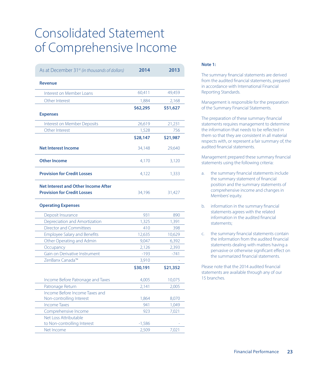## Consolidated Statement of Comprehensive Income

| As at December 31 <sup>st</sup> (in thousands of dollars)                 | 2014     | 2013     |
|---------------------------------------------------------------------------|----------|----------|
| <b>Revenue</b>                                                            |          |          |
| Interest on Member Loans                                                  | 60,411   | 49,459   |
| Other Interest                                                            | 1,884    | 2,168    |
|                                                                           | \$62,295 | \$51,627 |
| <b>Expenses</b>                                                           |          |          |
| Interest on Member Deposits                                               | 26,619   | 21,231   |
| Other Interest                                                            | 1,528    | 756      |
|                                                                           | \$28,147 | \$21,987 |
| <b>Net Interest Income</b>                                                | 34,148   | 29,640   |
| <b>Other Income</b>                                                       | 4,170    | 3,120    |
| <b>Provision for Credit Losses</b>                                        | 4,122    | 1,333    |
| Net Interest and Other Income After<br><b>Provision for Credit Losses</b> |          |          |
|                                                                           | 34,196   | 31,427   |
| <b>Operating Expenses</b>                                                 |          |          |
| Deposit Insurance                                                         | 931      | 890      |
| Depreciation and Amortization                                             | 1,325    | 1,391    |
| Director and Committees                                                   | 410      | 398      |
| <b>Employee Salary and Benefits</b>                                       | 12,635   | 10,629   |
| Other Operating and Admin                                                 | 9,047    | 6,392    |
| Occupancy                                                                 | 2,126    | 2,393    |
| Gain on Derivative Instrument                                             | $-193$   | $-741$   |
| ZenBanx Canada™                                                           | 3,910    |          |
|                                                                           | \$30,191 | \$21,352 |
| Income Before Patronage and Taxes                                         | 4,005    | 10,075   |
| Patronage Return                                                          | 2,141    | 2,005    |
| Income Before Income Taxes and                                            |          |          |
| Non-controlling Interest                                                  | 1,864    | 8,070    |
| <b>Income Taxes</b>                                                       | 941      | 1,049    |
| Comprehensive Income                                                      | 923      | 7,021    |
| Net Loss Attributable                                                     |          |          |
| to Non-controlling Interest                                               | $-1,586$ |          |
| Net Income                                                                | 2,509    | 7,021    |

#### **Note 1:**

The summary financial statements are derived from the audited financial statements, prepared in accordance with International Financial Reporting Standards.

Management is responsible for the preparation of the Summary Financial Statements.

The preparation of these summary financial statements requires management to determine the information that needs to be reflected in them so that they are consistent in all material respects with, or represent a fair summary of, the audited financial statements.

Management prepared these summary financial statements using the following criteria:

- a. the summary financial statements include the summary statement of financial position and the summary statements of comprehensive income and changes in Members' equity.
- b. information in the summary financial statements agrees with the related information in the audited financial statements;
- c. the summary financial statements contain the information from the audited financial statements dealing with matters having a pervasive or otherwise significant effect on the summarized financial statements.

Please note that the 2014 audited financial statements are available through any of our 15 branches.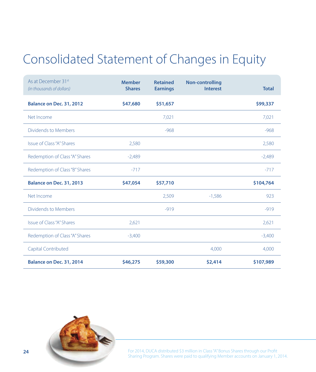## Consolidated Statement of Changes in Equity

| As at December 31st<br>(in thousands of dollars) | <b>Member</b><br><b>Shares</b> | <b>Retained</b><br><b>Earnings</b> | <b>Non-controlling</b><br><b>Interest</b> | <b>Total</b> |
|--------------------------------------------------|--------------------------------|------------------------------------|-------------------------------------------|--------------|
| Balance on Dec. 31, 2012                         | \$47,680                       | \$51,657                           |                                           | \$99,337     |
| Net Income                                       |                                | 7,021                              |                                           | 7,021        |
| Dividends to Members                             |                                | $-968$                             |                                           | $-968$       |
| Issue of Class "A" Shares                        | 2,580                          |                                    |                                           | 2,580        |
| Redemption of Class "A" Shares                   | $-2,489$                       |                                    |                                           | $-2,489$     |
| Redemption of Class "B" Shares                   | $-717$                         |                                    |                                           | $-717$       |
| Balance on Dec. 31, 2013                         | \$47,054                       | \$57,710                           |                                           | \$104,764    |
| Net Income                                       |                                | 2,509                              | $-1,586$                                  | 923          |
| Dividends to Members                             |                                | $-919$                             |                                           | $-919$       |
| Issue of Class "A" Shares                        | 2,621                          |                                    |                                           | 2,621        |
| Redemption of Class "A" Shares                   | $-3,400$                       |                                    |                                           | $-3,400$     |
| Capital Contributed                              |                                |                                    | 4,000                                     | 4,000        |
| Balance on Dec. 31, 2014                         | \$46,275                       | \$59,300                           | \$2,414                                   | \$107,989    |



For 2014, DUCA distributed \$3 million in Class "A" Bonus Shares through our Profit Sharing Program. Shares were paid to qualifying Member accounts on January 1, 2014.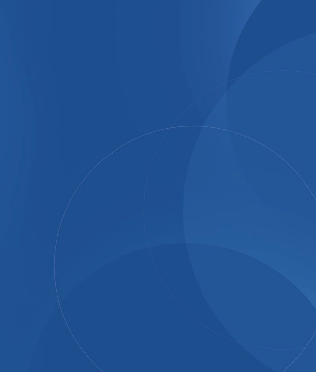